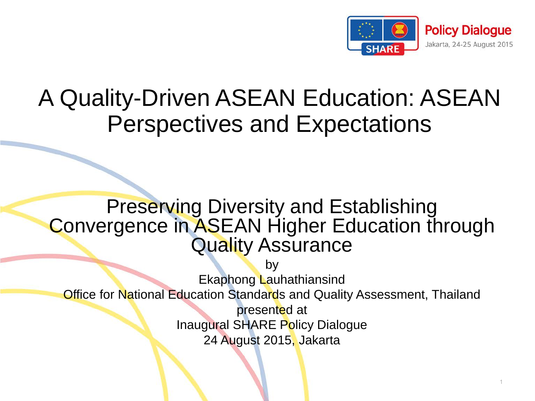

### A Quality-Driven ASEAN Education: ASEAN Perspectives and Expectations

#### Preserving Diversity and Establishing Convergence in ASEAN Higher Education through Quality Assurance

by Ekaphong Lauhathiansind **Office for National Education Standards and Quality Assessment, Thailand** presented at Inaugural SHARE Policy Dialogue 24 August 2015, Jakarta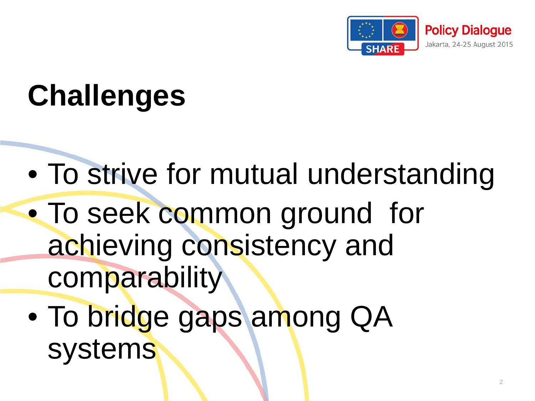

### **Challenges**

- To strive for mutual understanding
- To seek common ground for achieving consistency and comparability
- To bridge gaps among QA systems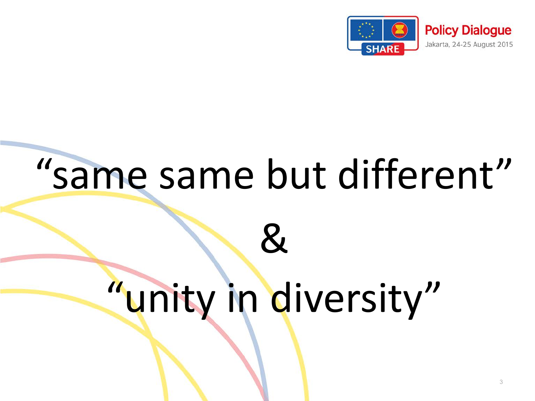

# "same same but different"

## "unity in diversity"

 $\mathcal{R}_{\mathcal{L}}$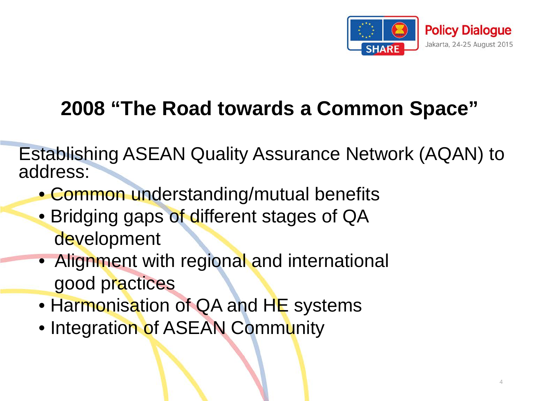

#### **2008 "The Road towards a Common Space"**

Establishing ASEAN Quality Assurance Network (AQAN) to address:

- Common understanding/mutual benefits
- Bridging gaps of different stages of QA development
- Alignment with regional and international good practices
- Harmonisation of QA and HE systems
- Integration of ASEAN Community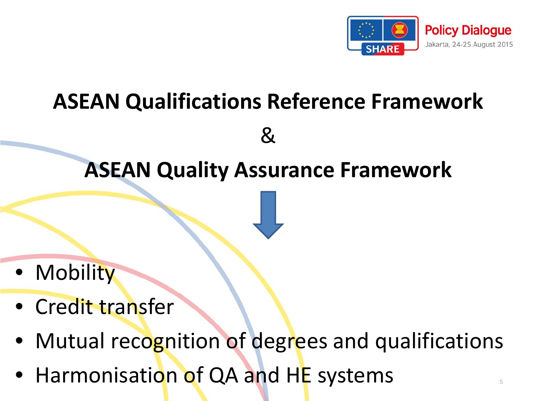

### **ASEAN Qualifications Reference Framework**

**ASEAN Quality Assurance Framework**

&

- Mobility
- Credit transfer
- Mutual recognition of degrees and qualifications
- Harmonisation of QA and HE systems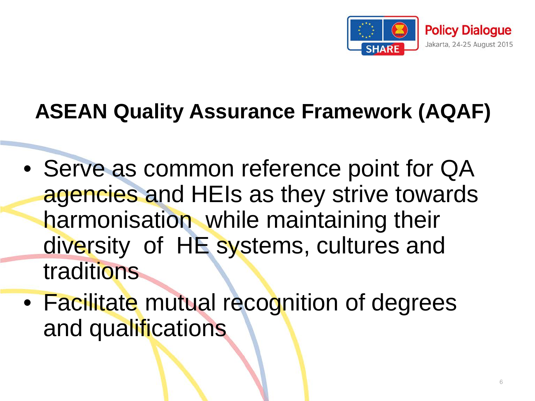

### **ASEAN Quality Assurance Framework (AQAF)**

- Serve as common reference point for QA agencies and HEIs as they strive towards harmonisation while maintaining their diversity of HE systems, cultures and traditions
- Facilitate mutual recognition of degrees and qualifications